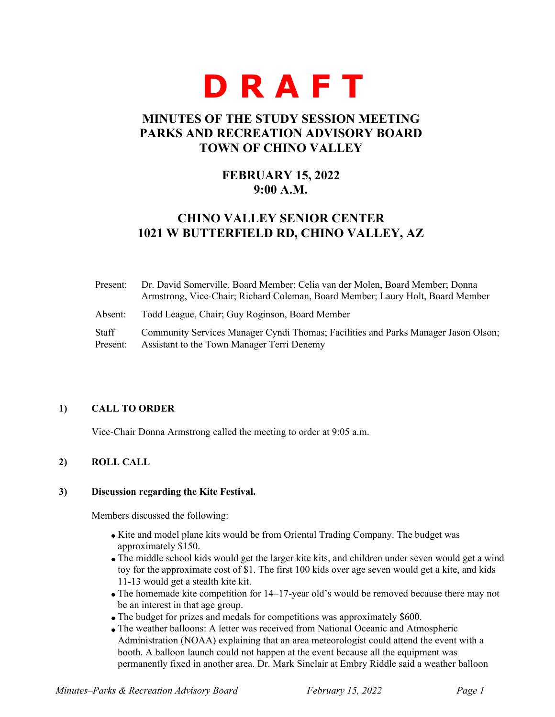# **D R A F T**

# **MINUTES OF THE STUDY SESSION MEETING PARKS AND RECREATION ADVISORY BOARD TOWN OF CHINO VALLEY**

# **FEBRUARY 15, 2022 9:00 A.M.**

# **CHINO VALLEY SENIOR CENTER 1021 W BUTTERFIELD RD, CHINO VALLEY, AZ**

| Present:          | Dr. David Somerville, Board Member; Celia van der Molen, Board Member; Donna<br>Armstrong, Vice-Chair; Richard Coleman, Board Member; Laury Holt, Board Member |
|-------------------|----------------------------------------------------------------------------------------------------------------------------------------------------------------|
| Absent:           | Todd League, Chair; Guy Roginson, Board Member                                                                                                                 |
| Staff<br>Present: | Community Services Manager Cyndi Thomas; Facilities and Parks Manager Jason Olson;<br>Assistant to the Town Manager Terri Denemy                               |

## **1) CALL TO ORDER**

Vice-Chair Donna Armstrong called the meeting to order at 9:05 a.m.

# **2) ROLL CALL**

#### **3) Discussion regarding the Kite Festival.**

Members discussed the following:

- Kite and model plane kits would be from Oriental Trading Company. The budget was approximately \$150.
- The middle school kids would get the larger kite kits, and children under seven would get a wind toy for the approximate cost of \$1. The first 100 kids over age seven would get a kite, and kids 11-13 would get a stealth kite kit.
- The homemade kite competition for 14–17-year old's would be removed because there may not be an interest in that age group.
- The budget for prizes and medals for competitions was approximately \$600.
- The weather balloons: A letter was received from National Oceanic and Atmospheric Administration (NOAA) explaining that an area meteorologist could attend the event with a booth. A balloon launch could not happen at the event because all the equipment was permanently fixed in another area. Dr. Mark Sinclair at Embry Riddle said a weather balloon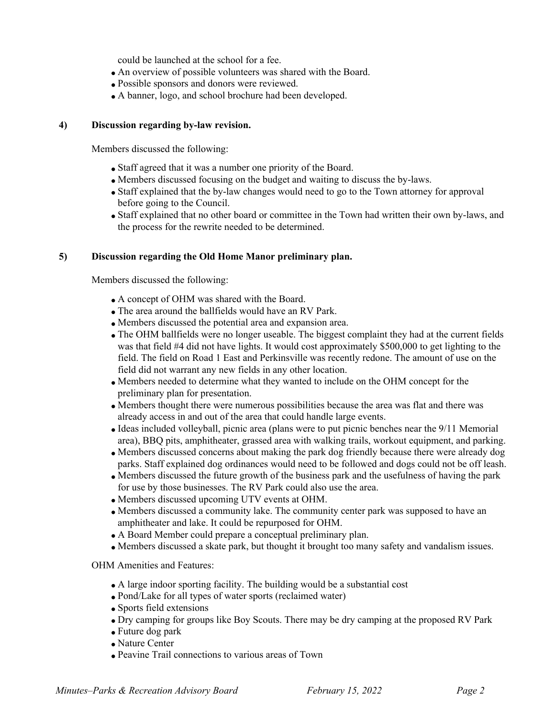could be launched at the school for a fee.

- An overview of possible volunteers was shared with the Board.
- Possible sponsors and donors were reviewed.
- A banner, logo, and school brochure had been developed.

#### **4) Discussion regarding by-law revision.**

Members discussed the following:

- Staff agreed that it was a number one priority of the Board.
- Members discussed focusing on the budget and waiting to discuss the by-laws.
- Staff explained that the by-law changes would need to go to the Town attorney for approval before going to the Council.
- Staff explained that no other board or committee in the Town had written their own by-laws, and the process for the rewrite needed to be determined.

#### **5) Discussion regarding the Old Home Manor preliminary plan.**

Members discussed the following:

- A concept of OHM was shared with the Board.
- The area around the ballfields would have an RV Park.
- Members discussed the potential area and expansion area.
- The OHM ballfields were no longer useable. The biggest complaint they had at the current fields was that field #4 did not have lights. It would cost approximately \$500,000 to get lighting to the field. The field on Road 1 East and Perkinsville was recently redone. The amount of use on the field did not warrant any new fields in any other location.
- Members needed to determine what they wanted to include on the OHM concept for the preliminary plan for presentation.
- Members thought there were numerous possibilities because the area was flat and there was already access in and out of the area that could handle large events.
- Ideas included volleyball, picnic area (plans were to put picnic benches near the 9/11 Memorial area), BBQ pits, amphitheater, grassed area with walking trails, workout equipment, and parking.
- Members discussed concerns about making the park dog friendly because there were already dog parks. Staff explained dog ordinances would need to be followed and dogs could not be off leash.
- Members discussed the future growth of the business park and the usefulness of having the park for use by those businesses. The RV Park could also use the area.
- Members discussed upcoming UTV events at OHM.
- Members discussed a community lake. The community center park was supposed to have an amphitheater and lake. It could be repurposed for OHM.
- A Board Member could prepare a conceptual preliminary plan.
- Members discussed a skate park, but thought it brought too many safety and vandalism issues.

OHM Amenities and Features:

- A large indoor sporting facility. The building would be a substantial cost
- Pond/Lake for all types of water sports (reclaimed water)
- Sports field extensions
- Dry camping for groups like Boy Scouts. There may be dry camping at the proposed RV Park
- Future dog park
- Nature Center
- Peavine Trail connections to various areas of Town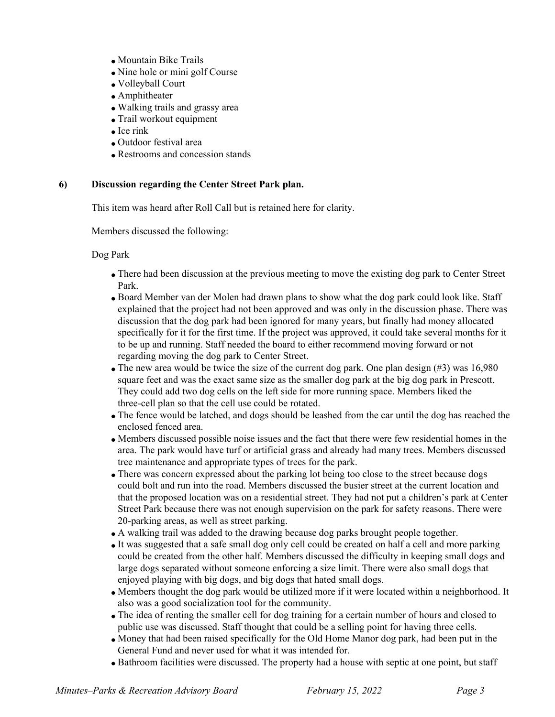- Mountain Bike Trails
- Nine hole or mini golf Course
- Volleyball Court
- Amphitheater
- Walking trails and grassy area
- Trail workout equipment
- $\bullet$  Ice rink
- Outdoor festival area
- Restrooms and concession stands

#### **6) Discussion regarding the Center Street Park plan.**

This item was heard after Roll Call but is retained here for clarity.

Members discussed the following:

Dog Park

- There had been discussion at the previous meeting to move the existing dog park to Center Street Park.
- Board Member van der Molen had drawn plans to show what the dog park could look like. Staff explained that the project had not been approved and was only in the discussion phase. There was discussion that the dog park had been ignored for many years, but finally had money allocated specifically for it for the first time. If the project was approved, it could take several months for it to be up and running. Staff needed the board to either recommend moving forward or not regarding moving the dog park to Center Street.
- The new area would be twice the size of the current dog park. One plan design (#3) was 16,980 square feet and was the exact same size as the smaller dog park at the big dog park in Prescott. They could add two dog cells on the left side for more running space. Members liked the three-cell plan so that the cell use could be rotated.
- The fence would be latched, and dogs should be leashed from the car until the dog has reached the enclosed fenced area.
- Members discussed possible noise issues and the fact that there were few residential homes in the area. The park would have turf or artificial grass and already had many trees. Members discussed tree maintenance and appropriate types of trees for the park.
- There was concern expressed about the parking lot being too close to the street because dogs could bolt and run into the road. Members discussed the busier street at the current location and that the proposed location was on a residential street. They had not put a children's park at Center Street Park because there was not enough supervision on the park for safety reasons. There were 20-parking areas, as well as street parking.
- A walking trail was added to the drawing because dog parks brought people together.
- It was suggested that a safe small dog only cell could be created on half a cell and more parking could be created from the other half. Members discussed the difficulty in keeping small dogs and large dogs separated without someone enforcing a size limit. There were also small dogs that enjoyed playing with big dogs, and big dogs that hated small dogs.
- Members thought the dog park would be utilized more if it were located within a neighborhood. It also was a good socialization tool for the community.
- The idea of renting the smaller cell for dog training for a certain number of hours and closed to public use was discussed. Staff thought that could be a selling point for having three cells.
- Money that had been raised specifically for the Old Home Manor dog park, had been put in the General Fund and never used for what it was intended for.
- Bathroom facilities were discussed. The property had a house with septic at one point, but staff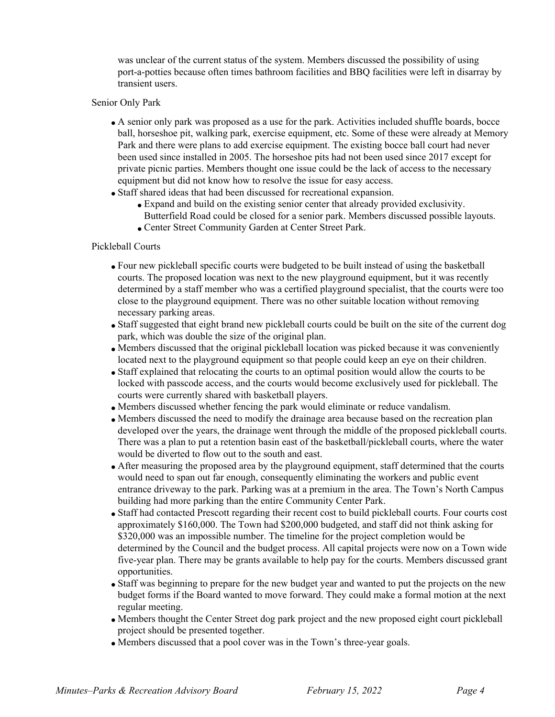was unclear of the current status of the system. Members discussed the possibility of using port-a-potties because often times bathroom facilities and BBQ facilities were left in disarray by transient users.

#### Senior Only Park

- A senior only park was proposed as a use for the park. Activities included shuffle boards, bocce ball, horseshoe pit, walking park, exercise equipment, etc. Some of these were already at Memory Park and there were plans to add exercise equipment. The existing bocce ball court had never been used since installed in 2005. The horseshoe pits had not been used since 2017 except for private picnic parties. Members thought one issue could be the lack of access to the necessary equipment but did not know how to resolve the issue for easy access.
- Staff shared ideas that had been discussed for recreational expansion.
	- Expand and build on the existing senior center that already provided exclusivity.
		- Butterfield Road could be closed for a senior park. Members discussed possible layouts.
	- Center Street Community Garden at Center Street Park.

## Pickleball Courts

- Four new pickleball specific courts were budgeted to be built instead of using the basketball courts. The proposed location was next to the new playground equipment, but it was recently determined by a staff member who was a certified playground specialist, that the courts were too close to the playground equipment. There was no other suitable location without removing necessary parking areas.
- Staff suggested that eight brand new pickleball courts could be built on the site of the current dog park, which was double the size of the original plan.
- Members discussed that the original pickleball location was picked because it was conveniently located next to the playground equipment so that people could keep an eye on their children.
- Staff explained that relocating the courts to an optimal position would allow the courts to be locked with passcode access, and the courts would become exclusively used for pickleball. The courts were currently shared with basketball players.
- Members discussed whether fencing the park would eliminate or reduce vandalism.
- Members discussed the need to modify the drainage area because based on the recreation plan developed over the years, the drainage went through the middle of the proposed pickleball courts. There was a plan to put a retention basin east of the basketball/pickleball courts, where the water would be diverted to flow out to the south and east.
- After measuring the proposed area by the playground equipment, staff determined that the courts would need to span out far enough, consequently eliminating the workers and public event entrance driveway to the park. Parking was at a premium in the area. The Town's North Campus building had more parking than the entire Community Center Park.
- Staff had contacted Prescott regarding their recent cost to build pickleball courts. Four courts cost approximately \$160,000. The Town had \$200,000 budgeted, and staff did not think asking for \$320,000 was an impossible number. The timeline for the project completion would be determined by the Council and the budget process. All capital projects were now on a Town wide five-year plan. There may be grants available to help pay for the courts. Members discussed grant opportunities.
- Staff was beginning to prepare for the new budget year and wanted to put the projects on the new budget forms if the Board wanted to move forward. They could make a formal motion at the next regular meeting.
- Members thought the Center Street dog park project and the new proposed eight court pickleball project should be presented together.
- Members discussed that a pool cover was in the Town's three-year goals.